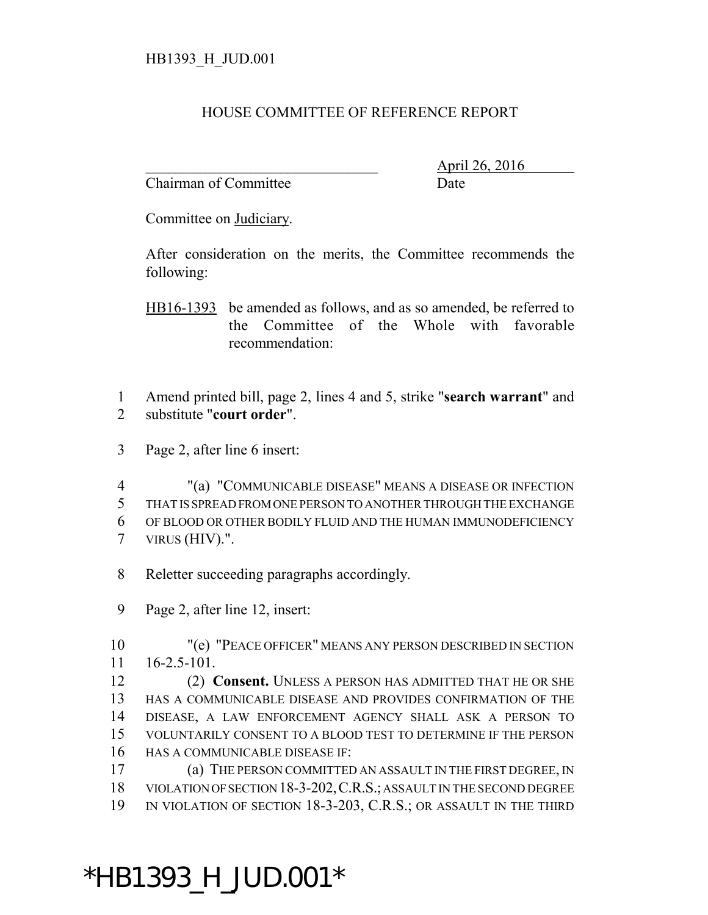## HOUSE COMMITTEE OF REFERENCE REPORT

Chairman of Committee Date

\_\_\_\_\_\_\_\_\_\_\_\_\_\_\_\_\_\_\_\_\_\_\_\_\_\_\_\_\_\_\_ April 26, 2016

Committee on Judiciary.

After consideration on the merits, the Committee recommends the following:

HB16-1393 be amended as follows, and as so amended, be referred to the Committee of the Whole with favorable recommendation:

 Amend printed bill, page 2, lines 4 and 5, strike "**search warrant**" and substitute "**court order**".

Page 2, after line 6 insert:

 "(a) "COMMUNICABLE DISEASE" MEANS A DISEASE OR INFECTION THAT IS SPREAD FROM ONE PERSON TO ANOTHER THROUGH THE EXCHANGE OF BLOOD OR OTHER BODILY FLUID AND THE HUMAN IMMUNODEFICIENCY VIRUS (HIV).".

Reletter succeeding paragraphs accordingly.

Page 2, after line 12, insert:

 "(e) "PEACE OFFICER" MEANS ANY PERSON DESCRIBED IN SECTION 16-2.5-101.

 (2) **Consent.** UNLESS A PERSON HAS ADMITTED THAT HE OR SHE HAS A COMMUNICABLE DISEASE AND PROVIDES CONFIRMATION OF THE DISEASE, A LAW ENFORCEMENT AGENCY SHALL ASK A PERSON TO VOLUNTARILY CONSENT TO A BLOOD TEST TO DETERMINE IF THE PERSON HAS A COMMUNICABLE DISEASE IF:

 (a) THE PERSON COMMITTED AN ASSAULT IN THE FIRST DEGREE, IN VIOLATION OF SECTION 18-3-202,C.R.S.; ASSAULT IN THE SECOND DEGREE IN VIOLATION OF SECTION 18-3-203, C.R.S.; OR ASSAULT IN THE THIRD

## \*HB1393\_H\_JUD.001\*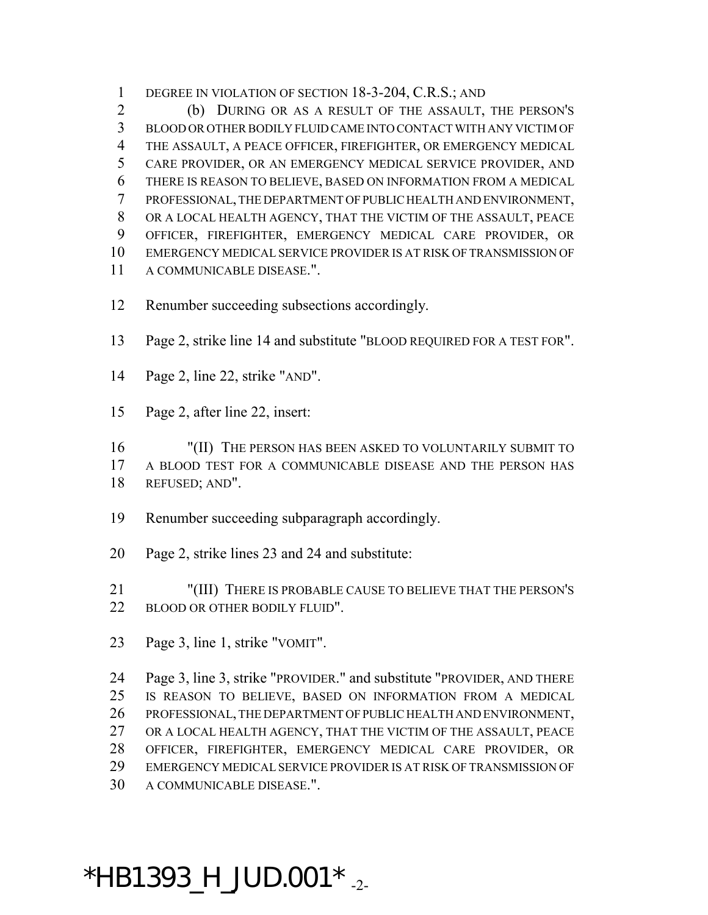1 DEGREE IN VIOLATION OF SECTION 18-3-204, C.R.S.; AND

 (b) DURING OR AS A RESULT OF THE ASSAULT, THE PERSON'S BLOOD OR OTHER BODILY FLUID CAME INTO CONTACT WITH ANY VICTIM OF THE ASSAULT, A PEACE OFFICER, FIREFIGHTER, OR EMERGENCY MEDICAL CARE PROVIDER, OR AN EMERGENCY MEDICAL SERVICE PROVIDER, AND THERE IS REASON TO BELIEVE, BASED ON INFORMATION FROM A MEDICAL PROFESSIONAL, THE DEPARTMENT OF PUBLIC HEALTH AND ENVIRONMENT, OR A LOCAL HEALTH AGENCY, THAT THE VICTIM OF THE ASSAULT, PEACE OFFICER, FIREFIGHTER, EMERGENCY MEDICAL CARE PROVIDER, OR EMERGENCY MEDICAL SERVICE PROVIDER IS AT RISK OF TRANSMISSION OF A COMMUNICABLE DISEASE.".

Renumber succeeding subsections accordingly.

Page 2, strike line 14 and substitute "BLOOD REQUIRED FOR A TEST FOR".

- Page 2, line 22, strike "AND".
- Page 2, after line 22, insert:

 "(II) THE PERSON HAS BEEN ASKED TO VOLUNTARILY SUBMIT TO A BLOOD TEST FOR A COMMUNICABLE DISEASE AND THE PERSON HAS REFUSED; AND".

- Renumber succeeding subparagraph accordingly.
- Page 2, strike lines 23 and 24 and substitute:

 "(III) THERE IS PROBABLE CAUSE TO BELIEVE THAT THE PERSON'S 22 BLOOD OR OTHER BODILY FLUID".

Page 3, line 1, strike "VOMIT".

 Page 3, line 3, strike "PROVIDER." and substitute "PROVIDER, AND THERE IS REASON TO BELIEVE, BASED ON INFORMATION FROM A MEDICAL PROFESSIONAL, THE DEPARTMENT OF PUBLIC HEALTH AND ENVIRONMENT, OR A LOCAL HEALTH AGENCY, THAT THE VICTIM OF THE ASSAULT, PEACE OFFICER, FIREFIGHTER, EMERGENCY MEDICAL CARE PROVIDER, OR EMERGENCY MEDICAL SERVICE PROVIDER IS AT RISK OF TRANSMISSION OF A COMMUNICABLE DISEASE.".

## $*$ HB1393\_H\_JUD.001 $*$ <sub>-2-</sub>